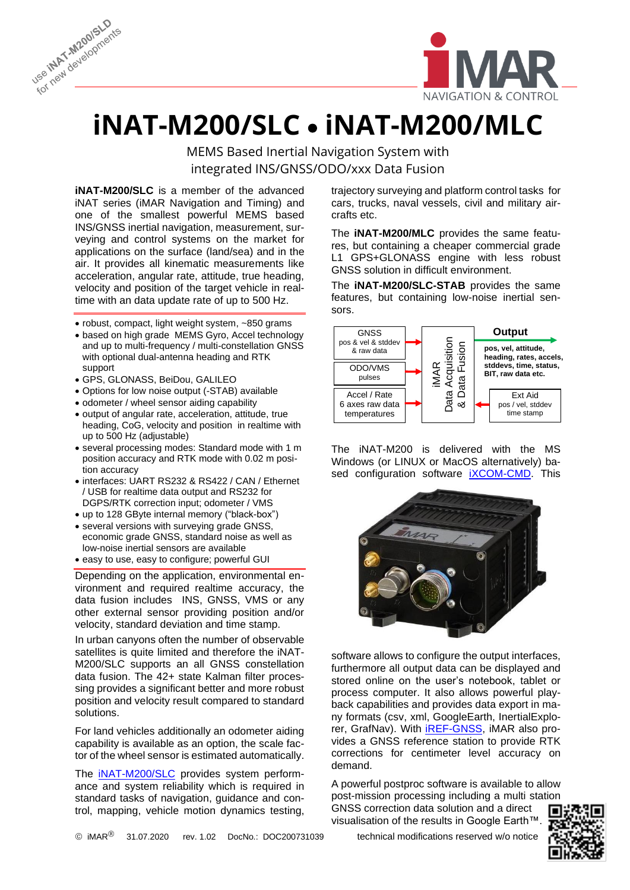



## **iNAT-M200/SLC** • **iNAT-M200/MLC**

MEMS Based Inertial Navigation System with integrated INS/GNSS/ODO/xxx Data Fusion

**iNAT-M200/SLC** is a member of the advanced iNAT series (iMAR Navigation and Timing) and one of the smallest powerful MEMS based INS/GNSS inertial navigation, measurement, surveying and control systems on the market for applications on the surface (land/sea) and in the air. It provides all kinematic measurements like acceleration, angular rate, attitude, true heading, velocity and position of the target vehicle in realtime with an data update rate of up to 500 Hz.

- robust, compact, light weight system, ~850 grams
- based on high grade MEMS Gyro, Accel technology and up to multi-frequency / multi-constellation GNSS with optional dual-antenna heading and RTK support
- GPS, GLONASS, BeiDou, GALILEO
- Options for low noise output (-STAB) available
- odometer / wheel sensor aiding capability
- output of angular rate, acceleration, attitude, true heading, CoG, velocity and position in realtime with up to 500 Hz (adjustable)
- several processing modes: Standard mode with 1 m position accuracy and RTK mode with 0.02 m position accuracy
- interfaces: UART RS232 & RS422 / CAN / Ethernet / USB for realtime data output and RS232 for DGPS/RTK correction input; odometer / VMS
- up to 128 GByte internal memory ("black-box")
- several versions with surveying grade GNSS, economic grade GNSS, standard noise as well as low-noise inertial sensors are available
- easy to use, easy to configure; powerful GUI

Depending on the application, environmental environment and required realtime accuracy, the data fusion includes INS, GNSS, VMS or any other external sensor providing position and/or velocity, standard deviation and time stamp.

In urban canyons often the number of observable satellites is quite limited and therefore the iNAT-M200/SLC supports an all GNSS constellation data fusion. The 42+ state Kalman filter processing provides a significant better and more robust position and velocity result compared to standard solutions.

For land vehicles additionally an odometer aiding capability is available as an option, the scale factor of the wheel sensor is estimated automatically.

The [iNAT-M200/SLC](https://www.imar-navigation.de/en/products/by-product-names/item/inat-m200-advanced-mems-based-navigation-surveying-control-system) provides system performance and system reliability which is required in standard tasks of navigation, guidance and control, mapping, vehicle motion dynamics testing, trajectory surveying and platform control tasks for cars, trucks, naval vessels, civil and military aircrafts etc.

L

The **iNAT-M200/MLC** provides the same features, but containing a cheaper commercial grade L1 GPS+GLONASS engine with less robust GNSS solution in difficult environment.

The **iNAT-M200/SLC-STAB** provides the same features, but containing low-noise inertial sensors.



The iNAT-M200 is delivered with the MS Windows (or LINUX or MacOS alternatively) based configuration software **iXCOM-CMD**. This



software allows to configure the output interfaces, furthermore all output data can be displayed and stored online on the user's notebook, tablet or process computer. It also allows powerful playback capabilities and provides data export in many formats (csv, xml, GoogleEarth, InertialExplorer, GrafNav). With [iREF-GNSS,](https://www.imar-navigation.de/en/products/by-product-names/item/iref-l1l2-gps-reference-station?category_id=248) iMAR also provides a GNSS reference station to provide RTK corrections for centimeter level accuracy on demand.

A powerful postproc software is available to allow post-mission processing including a multi station GNSS correction data solution and a direct ٠. visualisation of the results in Google Earth™